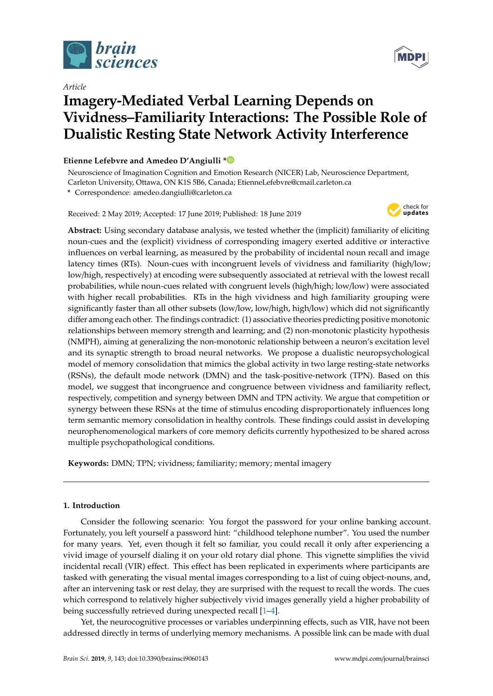

*Article*

# **Imagery-Mediated Verbal Learning Depends on Vividness–Familiarity Interactions: The Possible Role of Dualistic Resting State Network Activity Interference**

# **Etienne Lefebvre and Amedeo D'Angiulli [\\*](https://orcid.org/0000-0002-8295-9850)**

Neuroscience of Imagination Cognition and Emotion Research (NICER) Lab, Neuroscience Department, Carleton University, Ottawa, ON K1S 5B6, Canada; EtienneLefebvre@cmail.carleton.ca

**\*** Correspondence: amedeo.dangiulli@carleton.ca

Received: 2 May 2019; Accepted: 17 June 2019; Published: 18 June 2019



**Abstract:** Using secondary database analysis, we tested whether the (implicit) familiarity of eliciting noun-cues and the (explicit) vividness of corresponding imagery exerted additive or interactive influences on verbal learning, as measured by the probability of incidental noun recall and image latency times (RTs). Noun-cues with incongruent levels of vividness and familiarity (high/low; low/high, respectively) at encoding were subsequently associated at retrieval with the lowest recall probabilities, while noun-cues related with congruent levels (high/high; low/low) were associated with higher recall probabilities. RTs in the high vividness and high familiarity grouping were significantly faster than all other subsets (low/low, low/high, high/low) which did not significantly differ among each other. The findings contradict: (1) associative theories predicting positive monotonic relationships between memory strength and learning; and (2) non-monotonic plasticity hypothesis (NMPH), aiming at generalizing the non-monotonic relationship between a neuron's excitation level and its synaptic strength to broad neural networks. We propose a dualistic neuropsychological model of memory consolidation that mimics the global activity in two large resting-state networks (RSNs), the default mode network (DMN) and the task-positive-network (TPN). Based on this model, we suggest that incongruence and congruence between vividness and familiarity reflect, respectively, competition and synergy between DMN and TPN activity. We argue that competition or synergy between these RSNs at the time of stimulus encoding disproportionately influences long term semantic memory consolidation in healthy controls. These findings could assist in developing neurophenomenological markers of core memory deficits currently hypothesized to be shared across multiple psychopathological conditions.

**Keywords:** DMN; TPN; vividness; familiarity; memory; mental imagery

# **1. Introduction**

Consider the following scenario: You forgot the password for your online banking account. Fortunately, you left yourself a password hint: "childhood telephone number". You used the number for many years. Yet, even though it felt so familiar, you could recall it only after experiencing a vivid image of yourself dialing it on your old rotary dial phone. This vignette simplifies the vivid incidental recall (VIR) effect. This effect has been replicated in experiments where participants are tasked with generating the visual mental images corresponding to a list of cuing object-nouns, and, after an intervening task or rest delay, they are surprised with the request to recall the words. The cues which correspond to relatively higher subjectively vivid images generally yield a higher probability of being successfully retrieved during unexpected recall [\[1](#page-15-0)[–4\]](#page-15-1).

Yet, the neurocognitive processes or variables underpinning effects, such as VIR, have not been addressed directly in terms of underlying memory mechanisms. A possible link can be made with dual

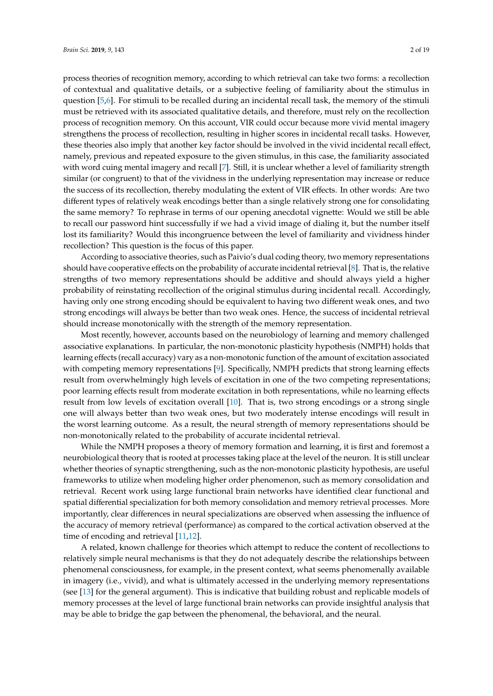process theories of recognition memory, according to which retrieval can take two forms: a recollection of contextual and qualitative details, or a subjective feeling of familiarity about the stimulus in question [\[5](#page-15-2)[,6\]](#page-15-3). For stimuli to be recalled during an incidental recall task, the memory of the stimuli must be retrieved with its associated qualitative details, and therefore, must rely on the recollection process of recognition memory. On this account, VIR could occur because more vivid mental imagery strengthens the process of recollection, resulting in higher scores in incidental recall tasks. However, these theories also imply that another key factor should be involved in the vivid incidental recall effect, namely, previous and repeated exposure to the given stimulus, in this case, the familiarity associated with word cuing mental imagery and recall [\[7\]](#page-15-4). Still, it is unclear whether a level of familiarity strength similar (or congruent) to that of the vividness in the underlying representation may increase or reduce the success of its recollection, thereby modulating the extent of VIR effects. In other words: Are two different types of relatively weak encodings better than a single relatively strong one for consolidating the same memory? To rephrase in terms of our opening anecdotal vignette: Would we still be able to recall our password hint successfully if we had a vivid image of dialing it, but the number itself lost its familiarity? Would this incongruence between the level of familiarity and vividness hinder recollection? This question is the focus of this paper.

According to associative theories, such as Paivio's dual coding theory, two memory representations should have cooperative effects on the probability of accurate incidental retrieval [\[8\]](#page-15-5). That is, the relative strengths of two memory representations should be additive and should always yield a higher probability of reinstating recollection of the original stimulus during incidental recall. Accordingly, having only one strong encoding should be equivalent to having two different weak ones, and two strong encodings will always be better than two weak ones. Hence, the success of incidental retrieval should increase monotonically with the strength of the memory representation.

Most recently, however, accounts based on the neurobiology of learning and memory challenged associative explanations. In particular, the non-monotonic plasticity hypothesis (NMPH) holds that learning effects (recall accuracy) vary as a non-monotonic function of the amount of excitation associated with competing memory representations [\[9\]](#page-15-6). Specifically, NMPH predicts that strong learning effects result from overwhelmingly high levels of excitation in one of the two competing representations; poor learning effects result from moderate excitation in both representations, while no learning effects result from low levels of excitation overall [\[10\]](#page-15-7). That is, two strong encodings or a strong single one will always better than two weak ones, but two moderately intense encodings will result in the worst learning outcome. As a result, the neural strength of memory representations should be non-monotonically related to the probability of accurate incidental retrieval.

While the NMPH proposes a theory of memory formation and learning, it is first and foremost a neurobiological theory that is rooted at processes taking place at the level of the neuron. It is still unclear whether theories of synaptic strengthening, such as the non-monotonic plasticity hypothesis, are useful frameworks to utilize when modeling higher order phenomenon, such as memory consolidation and retrieval. Recent work using large functional brain networks have identified clear functional and spatial differential specialization for both memory consolidation and memory retrieval processes. More importantly, clear differences in neural specializations are observed when assessing the influence of the accuracy of memory retrieval (performance) as compared to the cortical activation observed at the time of encoding and retrieval [\[11](#page-15-8)[,12\]](#page-15-9).

A related, known challenge for theories which attempt to reduce the content of recollections to relatively simple neural mechanisms is that they do not adequately describe the relationships between phenomenal consciousness, for example, in the present context, what seems phenomenally available in imagery (i.e., vivid), and what is ultimately accessed in the underlying memory representations (see [\[13\]](#page-15-10) for the general argument). This is indicative that building robust and replicable models of memory processes at the level of large functional brain networks can provide insightful analysis that may be able to bridge the gap between the phenomenal, the behavioral, and the neural.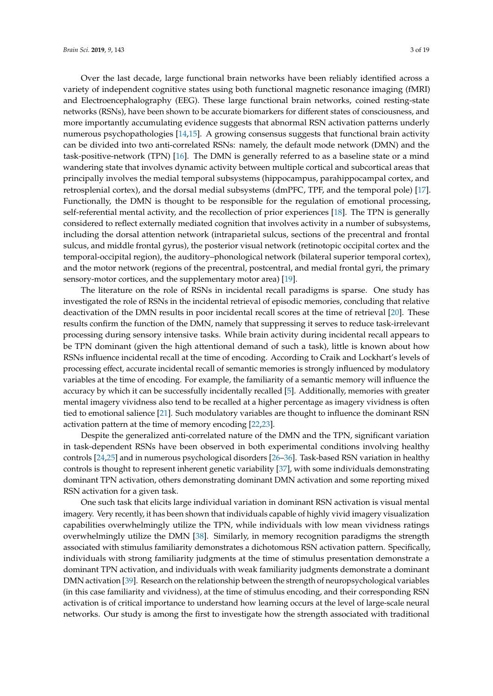Over the last decade, large functional brain networks have been reliably identified across a variety of independent cognitive states using both functional magnetic resonance imaging (fMRI) and Electroencephalography (EEG). These large functional brain networks, coined resting-state networks (RSNs), have been shown to be accurate biomarkers for different states of consciousness, and more importantly accumulating evidence suggests that abnormal RSN activation patterns underly numerous psychopathologies [\[14,](#page-15-11)[15\]](#page-15-12). A growing consensus suggests that functional brain activity can be divided into two anti-correlated RSNs: namely, the default mode network (DMN) and the task-positive-network (TPN) [\[16\]](#page-15-13). The DMN is generally referred to as a baseline state or a mind wandering state that involves dynamic activity between multiple cortical and subcortical areas that principally involves the medial temporal subsystems (hippocampus, parahippocampal cortex, and retrosplenial cortex), and the dorsal medial subsystems (dmPFC, TPF, and the temporal pole) [\[17\]](#page-15-14). Functionally, the DMN is thought to be responsible for the regulation of emotional processing, self-referential mental activity, and the recollection of prior experiences [\[18\]](#page-15-15). The TPN is generally considered to reflect externally mediated cognition that involves activity in a number of subsystems, including the dorsal attention network (intraparietal sulcus, sections of the precentral and frontal sulcus, and middle frontal gyrus), the posterior visual network (retinotopic occipital cortex and the temporal-occipital region), the auditory–phonological network (bilateral superior temporal cortex), and the motor network (regions of the precentral, postcentral, and medial frontal gyri, the primary sensory-motor cortices, and the supplementary motor area) [\[19\]](#page-15-16).

The literature on the role of RSNs in incidental recall paradigms is sparse. One study has investigated the role of RSNs in the incidental retrieval of episodic memories, concluding that relative deactivation of the DMN results in poor incidental recall scores at the time of retrieval [\[20\]](#page-15-17). These results confirm the function of the DMN, namely that suppressing it serves to reduce task-irrelevant processing during sensory intensive tasks. While brain activity during incidental recall appears to be TPN dominant (given the high attentional demand of such a task), little is known about how RSNs influence incidental recall at the time of encoding. According to Craik and Lockhart's levels of processing effect, accurate incidental recall of semantic memories is strongly influenced by modulatory variables at the time of encoding. For example, the familiarity of a semantic memory will influence the accuracy by which it can be successfully incidentally recalled [\[5\]](#page-15-2). Additionally, memories with greater mental imagery vividness also tend to be recalled at a higher percentage as imagery vividness is often tied to emotional salience [\[21\]](#page-15-18). Such modulatory variables are thought to influence the dominant RSN activation pattern at the time of memory encoding [\[22](#page-15-19)[,23\]](#page-15-20).

Despite the generalized anti-correlated nature of the DMN and the TPN, significant variation in task-dependent RSNs have been observed in both experimental conditions involving healthy controls [\[24,](#page-15-21)[25\]](#page-16-0) and in numerous psychological disorders [\[26](#page-16-1)[–36\]](#page-16-2). Task-based RSN variation in healthy controls is thought to represent inherent genetic variability [\[37\]](#page-16-3), with some individuals demonstrating dominant TPN activation, others demonstrating dominant DMN activation and some reporting mixed RSN activation for a given task.

One such task that elicits large individual variation in dominant RSN activation is visual mental imagery. Very recently, it has been shown that individuals capable of highly vivid imagery visualization capabilities overwhelmingly utilize the TPN, while individuals with low mean vividness ratings overwhelmingly utilize the DMN [\[38\]](#page-16-4). Similarly, in memory recognition paradigms the strength associated with stimulus familiarity demonstrates a dichotomous RSN activation pattern. Specifically, individuals with strong familiarity judgments at the time of stimulus presentation demonstrate a dominant TPN activation, and individuals with weak familiarity judgments demonstrate a dominant DMN activation [\[39\]](#page-16-5). Research on the relationship between the strength of neuropsychological variables (in this case familiarity and vividness), at the time of stimulus encoding, and their corresponding RSN activation is of critical importance to understand how learning occurs at the level of large-scale neural networks. Our study is among the first to investigate how the strength associated with traditional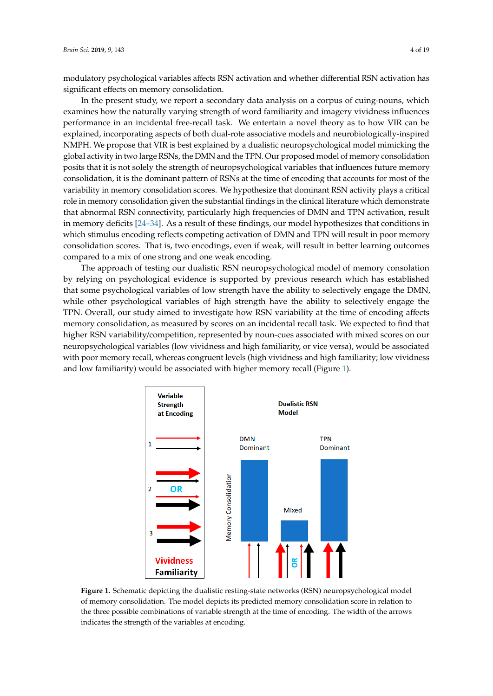modulatory psychological variables affects RSN activation and whether differential RSN activation has<br>*Argain Sci* significant effects on memory consolidation.

In the present study, we report a secondary data analysis on a corpus of cuing-nouns, which examines how the naturally varying strength of word familiarity and imagery vividness influences performance in an incidental free-recall task. We entertain a novel theory as to how VIR can be explained, incorporating aspects of both dual-rote associative models and neurobiologically-inspired NMPH. We propose that VIR is best explained by a dualistic neuropsychological model mimicking the global activity in two large RSNs, the DMN and the TPN. Our proposed model of memory consolidation posits that it is not solely the strength of neuropsychological variables that influences future memory<br>All is best explained by a dualistic neuropsychological model minicipal model minicipal minicipal minicipal mo consolidation, it is the dominant pattern of RSNs at the time of encoding that accounts for most of the variability in memory consolidation scores. We hypothesize that dominant RSN activity plays a critical role in memory consolidation given the substantial findings in the clinical literature which demonstrate that abnormal RSN connectivity, particularly high frequencies of DMN and TPN activation, result in memory deficits [\[24](#page-15-21)-34]. As a result of these findings, our model hypothesizes that conditions in which stimulus encoding reflects competing activation of DMN and TPN will result in poor memory consolidation scores. That is, two encodings, even if weak, will result in better learning outcomes  $\frac{6}{\pi}$  compared to a mix of one strong and one weak encoding. explained, incorporation as performance of both dual-rote associative models and neurobiologically-inspired models and neurobiologically-inspired models and neurobiologically-inspired models and neurobiologically-inspired

ance to a mot or one strong and one weak encoding.<br>The approach of testing our dualistic RSN neuropsychological model of memory consolation by relying on psychological evidence is supported by previous research which has established that some psychological variables of low strength have the ability to selectively engage the DMN, while other psychological variables of high strength have the ability to selectively engage the TPN. Overall, our study aimed to investigate how RSN variability at the time of encoding affects memory consolidation, as measured by scores on an incidental recall task. We expected to find that higher RSN variability/competition, represented by noun-cues associated with mixed scores on our neuropsychological variables (low vividness and high familiarity, or vice versa), would be associated with poor memory recall, whereas congruent levels (high vividness and high familiarity; low vividness and low familiarity) would be associated with higher memory recall (Figure [1\)](#page-3-0). in approach of testing out qualistic Kory heuropsychological model of the with poor memory recall, whereas congruent vivid the tradition and high familiarity; low that

<span id="page-3-0"></span>

**Figure 1.** Schematic depicting the dualistic resting-state networks (RSN) neuropsychological model **Figure 1.** Schematic depicting the dualistic resting-state networks (RSN) neuropsychological model of memory consolidation. The model depicts its predicted memory consolidation score in relation to of memory consolidation. The model depicts its predicted memory consolidation score in relation to the three possible combinations of variable strength at the time of encoding. The width of the arrows the three possible combinations of variable strength at the time of encoding. The width of the arrows indicates the strength of the variables at encoding. indicates the strength of the variables at encoding.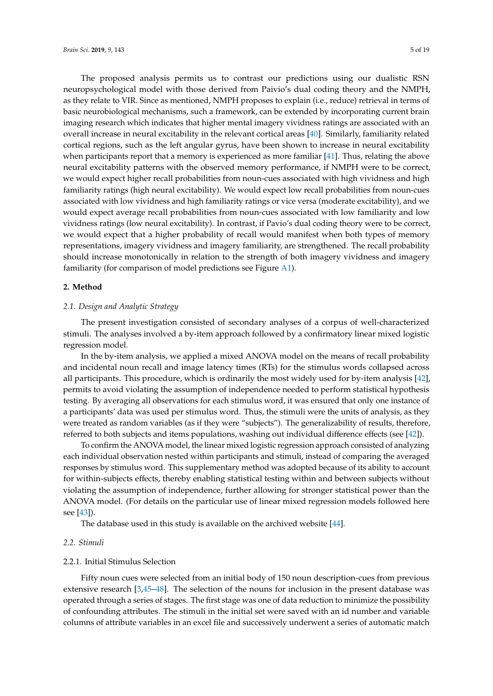The proposed analysis permits us to contrast our predictions using our dualistic RSN neuropsychological model with those derived from Paivio's dual coding theory and the NMPH, as they relate to VIR. Since as mentioned, NMPH proposes to explain (i.e., reduce) retrieval in terms of basic neurobiological mechanisms, such a framework, can be extended by incorporating current brain imaging research which indicates that higher mental imagery vividness ratings are associated with an overall increase in neural excitability in the relevant cortical areas [\[40\]](#page-16-7). Similarly, familiarity related cortical regions, such as the left angular gyrus, have been shown to increase in neural excitability when participants report that a memory is experienced as more familiar [\[41\]](#page-16-8). Thus, relating the above neural excitability patterns with the observed memory performance, if NMPH were to be correct, we would expect higher recall probabilities from noun-cues associated with high vividness and high familiarity ratings (high neural excitability). We would expect low recall probabilities from noun-cues associated with low vividness and high familiarity ratings or vice versa (moderate excitability), and we would expect average recall probabilities from noun-cues associated with low familiarity and low vividness ratings (low neural excitability). In contrast, if Pavio's dual coding theory were to be correct, we would expect that a higher probability of recall would manifest when both types of memory representations, imagery vividness and imagery familiarity, are strengthened. The recall probability should increase monotonically in relation to the strength of both imagery vividness and imagery familiarity (for comparison of model predictions see Figure [A1\)](#page-14-0).

#### **2. Method**

## *2.1. Design and Analytic Strategy*

The present investigation consisted of secondary analyses of a corpus of well-characterized stimuli. The analyses involved a by-item approach followed by a confirmatory linear mixed logistic regression model.

In the by-item analysis, we applied a mixed ANOVA model on the means of recall probability and incidental noun recall and image latency times (RTs) for the stimulus words collapsed across all participants. This procedure, which is ordinarily the most widely used for by-item analysis [\[42\]](#page-16-9), permits to avoid violating the assumption of independence needed to perform statistical hypothesis testing. By averaging all observations for each stimulus word, it was ensured that only one instance of a participants' data was used per stimulus word. Thus, the stimuli were the units of analysis, as they were treated as random variables (as if they were "subjects"). The generalizability of results, therefore, referred to both subjects and items populations, washing out individual difference effects (see [\[42\]](#page-16-9)).

To confirm the ANOVA model, the linear mixed logistic regression approach consisted of analyzing each individual observation nested within participants and stimuli, instead of comparing the averaged responses by stimulus word. This supplementary method was adopted because of its ability to account for within-subjects effects, thereby enabling statistical testing within and between subjects without violating the assumption of independence, further allowing for stronger statistical power than the ANOVA model. (For details on the particular use of linear mixed regression models followed here see [\[43\]](#page-16-10)).

The database used in this study is available on the archived website [\[44\]](#page-16-11).

## *2.2. Stimuli*

## <span id="page-4-0"></span>2.2.1. Initial Stimulus Selection

Fifty noun cues were selected from an initial body of 150 noun description-cues from previous extensive research [\[3](#page-15-22)[,45](#page-16-12)[–48\]](#page-17-0). The selection of the nouns for inclusion in the present database was operated through a series of stages. The first stage was one of data reduction to minimize the possibility of confounding attributes. The stimuli in the initial set were saved with an id number and variable columns of attribute variables in an excel file and successively underwent a series of automatic match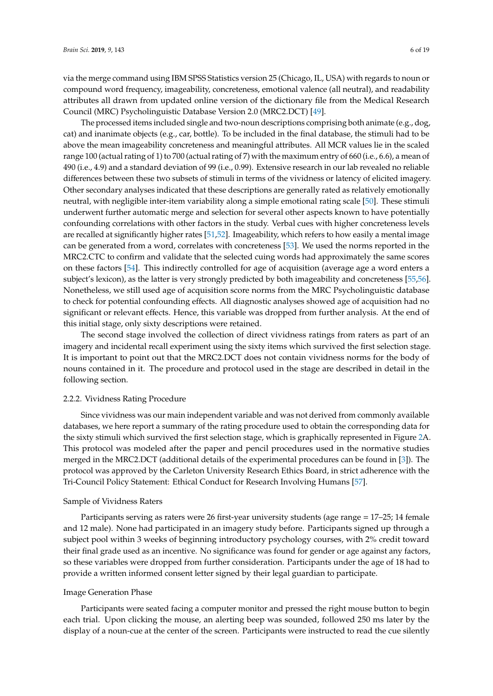via the merge command using IBM SPSS Statistics version 25 (Chicago, IL, USA) with regards to noun or compound word frequency, imageability, concreteness, emotional valence (all neutral), and readability attributes all drawn from updated online version of the dictionary file from the Medical Research Council (MRC) Psycholinguistic Database Version 2.0 (MRC2.DCT) [\[49\]](#page-17-1).

The processed items included single and two-noun descriptions comprising both animate (e.g., dog, cat) and inanimate objects (e.g., car, bottle). To be included in the final database, the stimuli had to be above the mean imageability concreteness and meaningful attributes. All MCR values lie in the scaled range 100 (actual rating of 1) to 700 (actual rating of 7) with the maximum entry of 660 (i.e., 6.6), a mean of 490 (i.e., 4.9) and a standard deviation of 99 (i.e., 0.99). Extensive research in our lab revealed no reliable differences between these two subsets of stimuli in terms of the vividness or latency of elicited imagery. Other secondary analyses indicated that these descriptions are generally rated as relatively emotionally neutral, with negligible inter-item variability along a simple emotional rating scale [\[50\]](#page-17-2). These stimuli underwent further automatic merge and selection for several other aspects known to have potentially confounding correlations with other factors in the study. Verbal cues with higher concreteness levels are recalled at significantly higher rates [\[51](#page-17-3)[,52\]](#page-17-4). Imageability, which refers to how easily a mental image can be generated from a word, correlates with concreteness [\[53\]](#page-17-5). We used the norms reported in the MRC2.CTC to confirm and validate that the selected cuing words had approximately the same scores on these factors [\[54\]](#page-17-6). This indirectly controlled for age of acquisition (average age a word enters a subject's lexicon), as the latter is very strongly predicted by both imageability and concreteness [\[55](#page-17-7)[,56\]](#page-17-8). Nonetheless, we still used age of acquisition score norms from the MRC Psycholinguistic database to check for potential confounding effects. All diagnostic analyses showed age of acquisition had no significant or relevant effects. Hence, this variable was dropped from further analysis. At the end of this initial stage, only sixty descriptions were retained.

The second stage involved the collection of direct vividness ratings from raters as part of an imagery and incidental recall experiment using the sixty items which survived the first selection stage. It is important to point out that the MRC2.DCT does not contain vividness norms for the body of nouns contained in it. The procedure and protocol used in the stage are described in detail in the following section.

## 2.2.2. Vividness Rating Procedure

Since vividness was our main independent variable and was not derived from commonly available databases, we here report a summary of the rating procedure used to obtain the corresponding data for the sixty stimuli which survived the first selection stage, which is graphically represented in Figure [2A](#page-6-0). This protocol was modeled after the paper and pencil procedures used in the normative studies merged in the MRC2.DCT (additional details of the experimental procedures can be found in [\[3\]](#page-15-22)). The protocol was approved by the Carleton University Research Ethics Board, in strict adherence with the Tri-Council Policy Statement: Ethical Conduct for Research Involving Humans [\[57\]](#page-17-9).

## Sample of Vividness Raters

Participants serving as raters were 26 first-year university students (age range = 17–25; 14 female and 12 male). None had participated in an imagery study before. Participants signed up through a subject pool within 3 weeks of beginning introductory psychology courses, with 2% credit toward their final grade used as an incentive. No significance was found for gender or age against any factors, so these variables were dropped from further consideration. Participants under the age of 18 had to provide a written informed consent letter signed by their legal guardian to participate.

## Image Generation Phase

Participants were seated facing a computer monitor and pressed the right mouse button to begin each trial. Upon clicking the mouse, an alerting beep was sounded, followed 250 ms later by the display of a noun-cue at the center of the screen. Participants were instructed to read the cue silently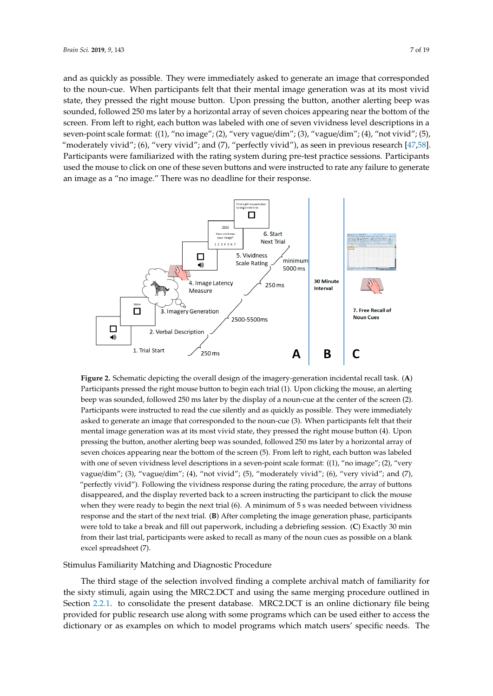and as quickly as possible. They were immediately asked to generate an image that corresponded to the noun-cue. When participants felt that their mental image generation was at its most vivid the noun-cue. state, they pressed the right mouse button. Upon pressing the button, another alerting beep was sounded, in the right mouse button. Upon pressing the button, another alerting beep was sounded, in the sounded, in the sounde sounded, followed 250 ms later by a horizontal array of seven choices appearing near the bottom of the screen. screen. From left to right, each button was labeled with one of seven vividness level descriptions in a<br>"Conditions" (Conditions in a seven-but the conditions of the conditions of the conditions of the conditions o seven-point scale format: ((1), "no image"; (2), "very vague/dim"; (3), "vague/dim"; (4), "not vivid"; (5),<br>" "moderately vivid"; (6), "very vivid"; and (7), "perfectly vivid"), as seen in previous research [\[47,](#page-17-10)[58\]](#page-17-11). "moderately vivid"; (6), "very vivid"; and (7), "perfectly vivid"), as seen in previous research [47,58]. Participants were familiarized with the rating system during pre-test practice sessions. Participants Participants were familiarized with the rating system during pre-test practice sessions. Participants used the mouse to click on one of these seven buttons and were instructed to rate any failure to generate instructed to rate any failure to generate an image as a "no image." There was no deadline for their response. generate an image as a "no image." There was no deadline for their response.

<span id="page-6-0"></span>

Figure 2. Schematic depicting the overall design of the imagery-generation incidental recall task. (A) Participants pressed the right mouse button to begin each trial (1). Upon clicking the mouse, an Participants pressed the right mouse button to begin each trial (1). Upon clicking the mouse, an alerting beep was sounded, followed 250 ms later by the display of a noun-cue at the center of the screen (2). Participants were instructed to read the cue silently and as quickly as possible. They were immediately asked to generate an image that corresponded to the noun-cue (3). When participants felt that their mental image generation was at its most vivid state, they pressed the right mouse button (4). Upon pressing the button, another alerting beep was sounded, followed 250 ms later by a horizontal array of seven choices appearing near the bottom of the screen (5). From left to right, each button was labeled with one of seven vividness level descriptions in a seven-point scale format: ((1), "no image"; (2), "very vague/dim"; (3), "vague/dim"; (4), "not vivid"; (5), "moderately vivid"; (6), "very vivid"; and (7), "perfectly vivid"). Following the vividness response during the rating procedure, the array of buttons disappeared, and the display reverted back to a screen instructing the participant to click the mouse when they were ready to begin the next trial (6). A minimum of 5 s was needed between vividness response and the start of the next trial. (**B**) After completing the image generation phase, participants were told to take a break and fill out paperwork, including a debriefing session. (**C**) Exactly 30 min from their last trial, participants were asked to recall as many of the noun cues as possible on a blank<br>excel spreadsheet (7). excel spreadsheet (7).

Stimulus Familiarity Matching and Diagnostic Procedure Stimulus Familiarity Matching and Diagnostic Procedure

The third stage of the selection involved finding a complete archival match of familiarity for the selection involved finding a complete archival match of familiarity for the sixty stimuli, again using the MRC2.DCT and using the same merging procedure outlined in Section [2.2.1.](#page-4-0) to consolidate the present database. MRC2.DCT is an online dictionary file being provided for public research use along with some programs which can be used either to access the dictionary or as examples on which to model programs which match users' specific needs. The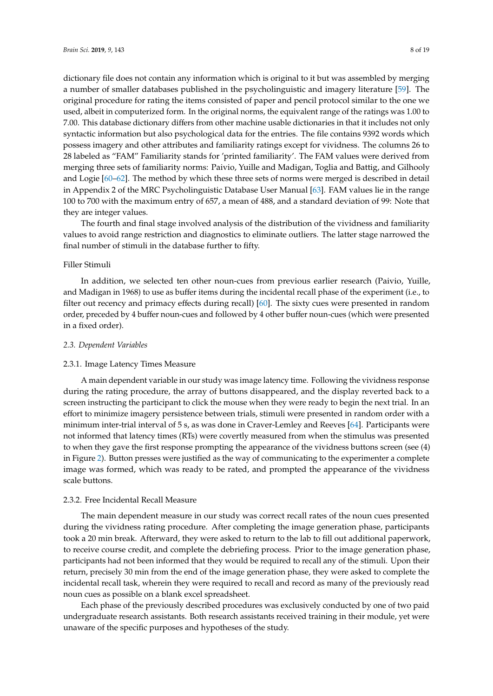dictionary file does not contain any information which is original to it but was assembled by merging a number of smaller databases published in the psycholinguistic and imagery literature [\[59\]](#page-17-12). The original procedure for rating the items consisted of paper and pencil protocol similar to the one we used, albeit in computerized form. In the original norms, the equivalent range of the ratings was 1.00 to 7.00. This database dictionary differs from other machine usable dictionaries in that it includes not only syntactic information but also psychological data for the entries. The file contains 9392 words which possess imagery and other attributes and familiarity ratings except for vividness. The columns 26 to 28 labeled as "FAM" Familiarity stands for 'printed familiarity'. The FAM values were derived from merging three sets of familiarity norms: Paivio, Yuille and Madigan, Toglia and Battig, and Gilhooly and Logie [\[60–](#page-17-13)[62\]](#page-17-14). The method by which these three sets of norms were merged is described in detail in Appendix 2 of the MRC Psycholinguistic Database User Manual [\[63\]](#page-17-15). FAM values lie in the range 100 to 700 with the maximum entry of 657, a mean of 488, and a standard deviation of 99: Note that they are integer values.

The fourth and final stage involved analysis of the distribution of the vividness and familiarity values to avoid range restriction and diagnostics to eliminate outliers. The latter stage narrowed the final number of stimuli in the database further to fifty.

## Filler Stimuli

In addition, we selected ten other noun-cues from previous earlier research (Paivio, Yuille, and Madigan in 1968) to use as buffer items during the incidental recall phase of the experiment (i.e., to filter out recency and primacy effects during recall) [\[60\]](#page-17-13). The sixty cues were presented in random order, preceded by 4 buffer noun-cues and followed by 4 other buffer noun-cues (which were presented in a fixed order).

#### *2.3. Dependent Variables*

#### 2.3.1. Image Latency Times Measure

A main dependent variable in our study was image latency time. Following the vividness response during the rating procedure, the array of buttons disappeared, and the display reverted back to a screen instructing the participant to click the mouse when they were ready to begin the next trial. In an effort to minimize imagery persistence between trials, stimuli were presented in random order with a minimum inter-trial interval of 5 s, as was done in Craver-Lemley and Reeves [\[64\]](#page-17-16). Participants were not informed that latency times (RTs) were covertly measured from when the stimulus was presented to when they gave the first response prompting the appearance of the vividness buttons screen (see (4) in Figure [2\)](#page-6-0). Button presses were justified as the way of communicating to the experimenter a complete image was formed, which was ready to be rated, and prompted the appearance of the vividness scale buttons.

#### 2.3.2. Free Incidental Recall Measure

The main dependent measure in our study was correct recall rates of the noun cues presented during the vividness rating procedure. After completing the image generation phase, participants took a 20 min break. Afterward, they were asked to return to the lab to fill out additional paperwork, to receive course credit, and complete the debriefing process. Prior to the image generation phase, participants had not been informed that they would be required to recall any of the stimuli. Upon their return, precisely 30 min from the end of the image generation phase, they were asked to complete the incidental recall task, wherein they were required to recall and record as many of the previously read noun cues as possible on a blank excel spreadsheet.

Each phase of the previously described procedures was exclusively conducted by one of two paid undergraduate research assistants. Both research assistants received training in their module, yet were unaware of the specific purposes and hypotheses of the study.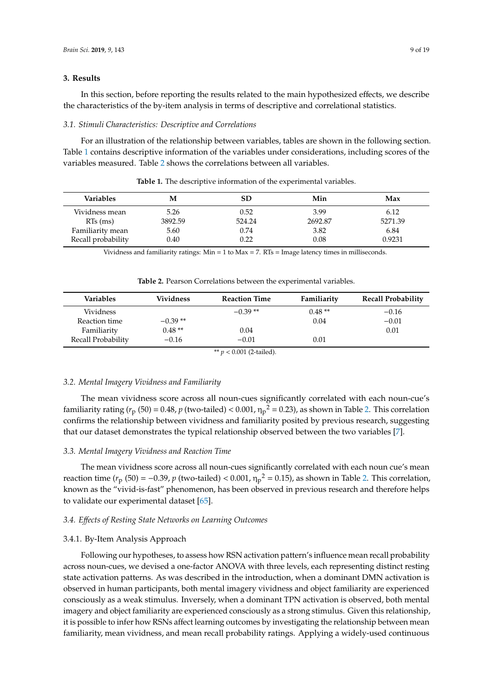## **3. Results**

In this section, before reporting the results related to the main hypothesized effects, we describe the characteristics of the by-item analysis in terms of descriptive and correlational statistics.

#### *3.1. Stimuli Characteristics: Descriptive and Correlations*

For an illustration of the relationship between variables, tables are shown in the following section. Table [1](#page-8-0) contains descriptive information of the variables under considerations, including scores of the variables measured. Table [2](#page-8-1) shows the correlations between all variables.

<span id="page-8-0"></span>

| Variables          | M       |        | Min     | Max     |
|--------------------|---------|--------|---------|---------|
| Vividness mean     | 5.26    | 0.52   | 3.99    | 6.12    |
| $RTs$ (ms)         | 3892.59 | 524.24 | 2692.87 | 5271.39 |
| Familiarity mean   | 5.60    | 0.74   | 3.82    | 6.84    |
| Recall probability | 0.40    | 0.22   | 0.08    | 0.9231  |

**Table 1.** The descriptive information of the experimental variables.

Vividness and familiarity ratings:  $Min = 1$  to  $Max = 7$ . RTs = Image latency times in milliseconds.

**Table 2.** Pearson Correlations between the experimental variables.

<span id="page-8-1"></span>

| Variables          | Vividness | <b>Reaction Time</b> | Familiarity | <b>Recall Probability</b> |
|--------------------|-----------|----------------------|-------------|---------------------------|
| Vividness          |           | $-0.39**$            | $0.48**$    | $-0.16$                   |
| Reaction time      | $-0.39**$ |                      | 0.04        | $-0.01$                   |
| Familiarity        | $0.48**$  | 0.04                 |             | 0.01                      |
| Recall Probability | $-0.16$   | $-0.01$              | 0.01        |                           |

\*\* *p* < 0.001 (2-tailed).

#### *3.2. Mental Imagery Vividness and Familiarity*

The mean vividness score across all noun-cues significantly correlated with each noun-cue's familiarity rating ( $r_p$  (50) = 0.48,  $p$  (two-tailed) < 0.001,  $\eta_p^2$  = 0.23), as shown in Table [2.](#page-8-1) This correlation confirms the relationship between vividness and familiarity posited by previous research, suggesting that our dataset demonstrates the typical relationship observed between the two variables [\[7\]](#page-15-4).

## *3.3. Mental Imagery Vividness and Reaction Time*

The mean vividness score across all noun-cues significantly correlated with each noun cue's mean reaction time ( $r_p$  (50) = -0.39,  $p$  (two-tailed) < 0.001,  $\eta_p^2$  = 0.15), as shown in Table [2.](#page-8-1) This correlation, known as the "vivid-is-fast" phenomenon, has been observed in previous research and therefore helps to validate our experimental dataset [\[65\]](#page-17-17).

## *3.4. E*ff*ects of Resting State Networks on Learning Outcomes*

## 3.4.1. By-Item Analysis Approach

Following our hypotheses, to assess how RSN activation pattern's influence mean recall probability across noun-cues, we devised a one-factor ANOVA with three levels, each representing distinct resting state activation patterns. As was described in the introduction, when a dominant DMN activation is observed in human participants, both mental imagery vividness and object familiarity are experienced consciously as a weak stimulus. Inversely, when a dominant TPN activation is observed, both mental imagery and object familiarity are experienced consciously as a strong stimulus. Given this relationship, it is possible to infer how RSNs affect learning outcomes by investigating the relationship between mean familiarity, mean vividness, and mean recall probability ratings. Applying a widely-used continuous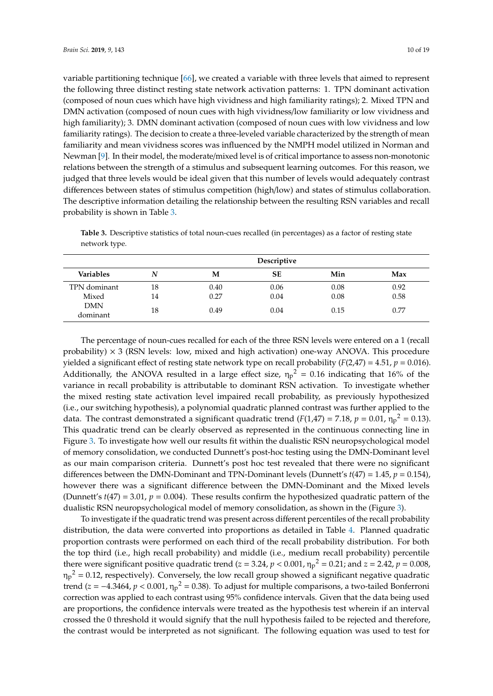variable partitioning technique [\[66\]](#page-17-18), we created a variable with three levels that aimed to represent the following three distinct resting state network activation patterns: 1. TPN dominant activation (composed of noun cues which have high vividness and high familiarity ratings); 2. Mixed TPN and DMN activation (composed of noun cues with high vividness/low familiarity or low vividness and high familiarity); 3. DMN dominant activation (composed of noun cues with low vividness and low familiarity ratings). The decision to create a three-leveled variable characterized by the strength of mean familiarity and mean vividness scores was influenced by the NMPH model utilized in Norman and Newman [\[9\]](#page-15-6). In their model, the moderate/mixed level is of critical importance to assess non-monotonic relations between the strength of a stimulus and subsequent learning outcomes. For this reason, we judged that three levels would be ideal given that this number of levels would adequately contrast differences between states of stimulus competition (high/low) and states of stimulus collaboration. The descriptive information detailing the relationship between the resulting RSN variables and recall probability is shown in Table [3.](#page-9-0)

<span id="page-9-0"></span>**Table 3.** Descriptive statistics of total noun-cues recalled (in percentages) as a factor of resting state network type.

|                                                 | Descriptive    |                      |                      |                      |                      |
|-------------------------------------------------|----------------|----------------------|----------------------|----------------------|----------------------|
| Variables                                       | N              | М                    | <b>SE</b>            | Min                  | Max                  |
| TPN dominant<br>Mixed<br><b>DMN</b><br>dominant | 18<br>14<br>18 | 0.40<br>0.27<br>0.49 | 0.06<br>0.04<br>0.04 | 0.08<br>0.08<br>0.15 | 0.92<br>0.58<br>0.77 |

The percentage of noun-cues recalled for each of the three RSN levels were entered on a 1 (recall probability)  $\times$  3 (RSN levels: low, mixed and high activation) one-way ANOVA. This procedure yielded a significant effect of resting state network type on recall probability  $(F(2,47) = 4.51, p = 0.016)$ . Additionally, the ANOVA resulted in a large effect size,  $\eta_p^2 = 0.16$  indicating that 16% of the variance in recall probability is attributable to dominant RSN activation. To investigate whether the mixed resting state activation level impaired recall probability, as previously hypothesized (i.e., our switching hypothesis), a polynomial quadratic planned contrast was further applied to the data. The contrast demonstrated a significant quadratic trend  $(F(1,47) = 7.18, p = 0.01, \eta_p^2 = 0.13)$ . This quadratic trend can be clearly observed as represented in the continuous connecting line in Figure [3.](#page-10-0) To investigate how well our results fit within the dualistic RSN neuropsychological model of memory consolidation, we conducted Dunnett's post-hoc testing using the DMN-Dominant level as our main comparison criteria. Dunnett's post hoc test revealed that there were no significant differences between the DMN-Dominant and TPN-Dominant levels (Dunnett's *t*(47) = 1.45, *p* = 0.154), however there was a significant difference between the DMN-Dominant and the Mixed levels (Dunnett's  $t(47) = 3.01$ ,  $p = 0.004$ ). These results confirm the hypothesized quadratic pattern of the dualistic RSN neuropsychological model of memory consolidation, as shown in the (Figure [3\)](#page-10-0).

To investigate if the quadratic trend was present across different percentiles of the recall probability distribution, the data were converted into proportions as detailed in Table [4.](#page-10-1) Planned quadratic proportion contrasts were performed on each third of the recall probability distribution. For both the top third (i.e., high recall probability) and middle (i.e., medium recall probability) percentile there were significant positive quadratic trend ( $z = 3.24$ ,  $p < 0.001$ ,  $\eta_p^2 = 0.21$ ; and  $z = 2.42$ ,  $p = 0.008$ ,  $\eta_p^2$  = 0.12, respectively). Conversely, the low recall group showed a significant negative quadratic trend ( $z = -4.3464$ ,  $p < 0.001$ ,  $\eta_p^2 = 0.38$ ). To adjust for multiple comparisons, a two-tailed Bonferroni correction was applied to each contrast using 95% confidence intervals. Given that the data being used are proportions, the confidence intervals were treated as the hypothesis test wherein if an interval crossed the 0 threshold it would signify that the null hypothesis failed to be rejected and therefore, the contrast would be interpreted as not significant. The following equation was used to test for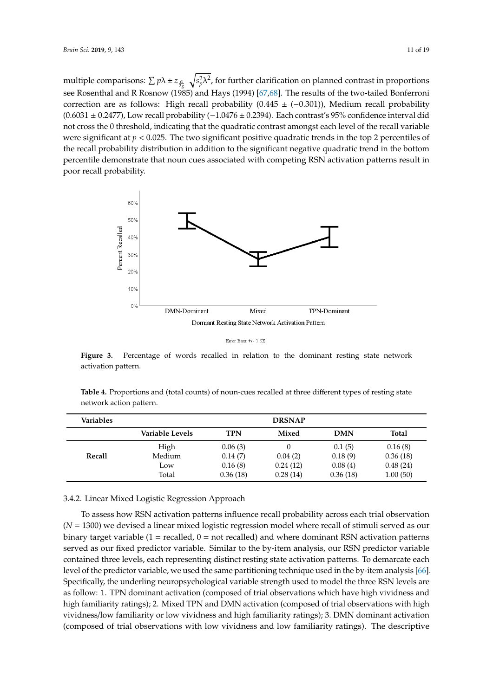multiple comparisons:  $\sum p\lambda \pm z_{\frac{\alpha}{2g}}$  $\sqrt{s_p^2 \lambda^2}$ , for further clarification on planned contrast in proportions see Rosenthal and R Rosnow (1985) and Hays (1994)  $[67,68]$  $[67,68]$ . The results of the two-tailed Bonferroni correction are as follows: High recall probability (0.445 ± (-0.301)), Medium recall probability  $(0.6031 \pm 0.2477)$ , Low recall probability  $(-1.0476 \pm 0.2394)$ . Each contrast's 95% confidence interval did not cross the 0 threshold, indicating that the quadratic contrast amongst each level of the recall variable were significant at  $p < 0.025$ . The two significant positive quadratic trends in the top 2 percentiles of the recall probability distribution in addition to the significant negative quadratic trend in the bottom percentile demonstrate that noun cues associated with competing RSN activation patterns result in poor recall probability. switching hypothesis), a polynomial  $\sqrt{2.2}$  planned contrast was further applied to the data. The data  $\sqrt{2.2}$ matriple comparisons.  $\sum p\wedge \pm 2\frac{a}{2g}$   $\sqrt{s_p}\wedge$ , for further clarification on planned contrast in proportions

<span id="page-10-0"></span>



Figure 3. Percentage of words recalled in relation to the dominant resting state network activation pattern.

<span id="page-10-1"></span>

| Table 4. Proportions and (total counts) of noun-cues recalled at three different types of resting state |  |
|---------------------------------------------------------------------------------------------------------|--|
| network action pattern.                                                                                 |  |

| Variables | <b>DRSNAP</b>   |            |          |            |              |
|-----------|-----------------|------------|----------|------------|--------------|
|           | Variable Levels | <b>TPN</b> | Mixed    | <b>DMN</b> | <b>Total</b> |
|           | High            | 0.06(3)    |          | 0.1(5)     | 0.16(8)      |
| Recall    | Medium          | 0.14(7)    | 0.04(2)  | 0.18(9)    | 0.36(18)     |
|           | Low             | 0.16(8)    | 0.24(12) | 0.08(4)    | 0.48(24)     |
|           | Total           | 0.36(18)   | 0.28(14) | 0.36(18)   | 1.00(50)     |

3.4.2. Linear Mixed Logistic Regression Approach

To assess how RSN activation patterns influence recall probability across each trial observation (*N* = 1300) we devised a linear mixed logistic regression model where recall of stimuli served as our binary target variable  $(1 =$  recalled,  $0 =$  not recalled) and where dominant RSN activation patterns served as our fixed predictor variable. Similar to the by-item analysis, our RSN predictor variable contained three levels, each representing distinct resting state activation patterns. To demarcate each level of the predictor variable, we used the same partitioning technique used in the by-item analysis [\[66\]](#page-17-18). Specifically, the underling neuropsychological variable strength used to model the three RSN levels are as follow: 1. TPN dominant activation (composed of trial observations which have high vividness and high familiarity ratings); 2. Mixed TPN and DMN activation (composed of trial observations with high vividness/low familiarity or low vividness and high familiarity ratings); 3. DMN dominant activation (composed of trial observations with low vividness and low familiarity ratings). The descriptive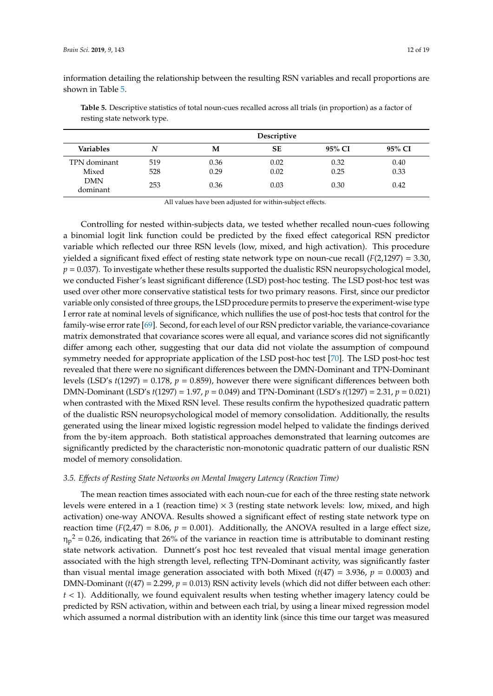information detailing the relationship between the resulting RSN variables and recall proportions are shown in Table [5.](#page-11-0)

|                        | Descriptive |      |           |        |        |
|------------------------|-------------|------|-----------|--------|--------|
| Variables              | N           | M    | <b>SE</b> | 95% CI | 95% CI |
| TPN dominant           | 519         | 0.36 | 0.02      | 0.32   | 0.40   |
| Mixed                  | 528         | 0.29 | 0.02      | 0.25   | 0.33   |
| <b>DMN</b><br>dominant | 253         | 0.36 | 0.03      | 0.30   | 0.42   |

<span id="page-11-0"></span>**Table 5.** Descriptive statistics of total noun-cues recalled across all trials (in proportion) as a factor of resting state network type.

All values have been adjusted for within-subject effects.

Controlling for nested within-subjects data, we tested whether recalled noun-cues following a binomial logit link function could be predicted by the fixed effect categorical RSN predictor variable which reflected our three RSN levels (low, mixed, and high activation). This procedure yielded a significant fixed effect of resting state network type on noun-cue recall (*F*(2,1297) = 3.30,  $p = 0.037$ ). To investigate whether these results supported the dualistic RSN neuropsychological model, we conducted Fisher's least significant difference (LSD) post-hoc testing. The LSD post-hoc test was used over other more conservative statistical tests for two primary reasons. First, since our predictor variable only consisted of three groups, the LSD procedure permits to preserve the experiment-wise type I error rate at nominal levels of significance, which nullifies the use of post-hoc tests that control for the family-wise error rate [\[69\]](#page-17-21). Second, for each level of our RSN predictor variable, the variance-covariance matrix demonstrated that covariance scores were all equal, and variance scores did not significantly differ among each other, suggesting that our data did not violate the assumption of compound symmetry needed for appropriate application of the LSD post-hoc test [\[70\]](#page-17-22). The LSD post-hoc test revealed that there were no significant differences between the DMN-Dominant and TPN-Dominant levels (LSD's *t*(1297) = 0.178, *p* = 0.859), however there were significant differences between both DMN-Dominant (LSD's *t*(1297) = 1.97, *p* = 0.049) and TPN-Dominant (LSD's *t*(1297) = 2.31, *p* = 0.021) when contrasted with the Mixed RSN level. These results confirm the hypothesized quadratic pattern of the dualistic RSN neuropsychological model of memory consolidation. Additionally, the results generated using the linear mixed logistic regression model helped to validate the findings derived from the by-item approach. Both statistical approaches demonstrated that learning outcomes are significantly predicted by the characteristic non-monotonic quadratic pattern of our dualistic RSN model of memory consolidation.

## *3.5. E*ff*ects of Resting State Networks on Mental Imagery Latency (Reaction Time)*

The mean reaction times associated with each noun-cue for each of the three resting state network levels were entered in a 1 (reaction time)  $\times$  3 (resting state network levels: low, mixed, and high activation) one-way ANOVA. Results showed a significant effect of resting state network type on reaction time  $(F(2,47) = 8.06, p = 0.001)$ . Additionally, the ANOVA resulted in a large effect size,  $\eta_p^2$  = 0.26, indicating that 26% of the variance in reaction time is attributable to dominant resting state network activation. Dunnett's post hoc test revealed that visual mental image generation associated with the high strength level, reflecting TPN-Dominant activity, was significantly faster than visual mental image generation associated with both Mixed ( $t$ ( $47$ ) = 3.936,  $p$  = 0.0003) and DMN-Dominant ( $t(47) = 2.299$ ,  $p = 0.013$ ) RSN activity levels (which did not differ between each other: *t* < 1). Additionally, we found equivalent results when testing whether imagery latency could be predicted by RSN activation, within and between each trial, by using a linear mixed regression model which assumed a normal distribution with an identity link (since this time our target was measured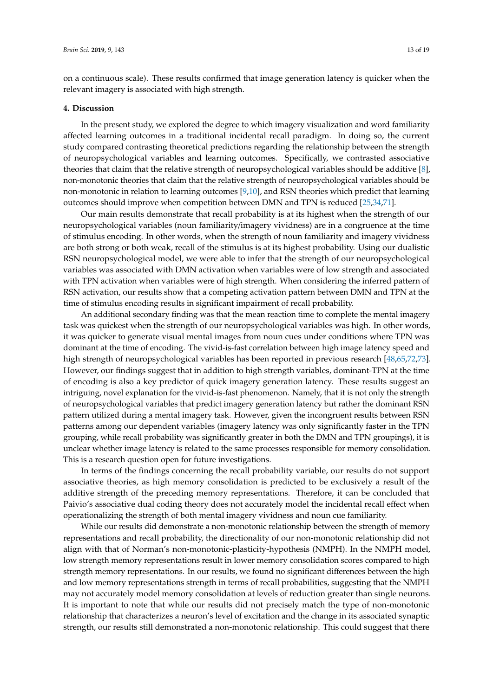on a continuous scale). These results confirmed that image generation latency is quicker when the relevant imagery is associated with high strength.

#### **4. Discussion**

In the present study, we explored the degree to which imagery visualization and word familiarity affected learning outcomes in a traditional incidental recall paradigm. In doing so, the current study compared contrasting theoretical predictions regarding the relationship between the strength of neuropsychological variables and learning outcomes. Specifically, we contrasted associative theories that claim that the relative strength of neuropsychological variables should be additive [\[8\]](#page-15-5), non-monotonic theories that claim that the relative strength of neuropsychological variables should be non-monotonic in relation to learning outcomes [\[9,](#page-15-6)[10\]](#page-15-7), and RSN theories which predict that learning outcomes should improve when competition between DMN and TPN is reduced [\[25](#page-16-0)[,34](#page-16-6)[,71\]](#page-17-23).

Our main results demonstrate that recall probability is at its highest when the strength of our neuropsychological variables (noun familiarity/imagery vividness) are in a congruence at the time of stimulus encoding. In other words, when the strength of noun familiarity and imagery vividness are both strong or both weak, recall of the stimulus is at its highest probability. Using our dualistic RSN neuropsychological model, we were able to infer that the strength of our neuropsychological variables was associated with DMN activation when variables were of low strength and associated with TPN activation when variables were of high strength. When considering the inferred pattern of RSN activation, our results show that a competing activation pattern between DMN and TPN at the time of stimulus encoding results in significant impairment of recall probability.

An additional secondary finding was that the mean reaction time to complete the mental imagery task was quickest when the strength of our neuropsychological variables was high. In other words, it was quicker to generate visual mental images from noun cues under conditions where TPN was dominant at the time of encoding. The vivid-is-fast correlation between high image latency speed and high strength of neuropsychological variables has been reported in previous research [\[48,](#page-17-0)[65,](#page-17-17)[72,](#page-17-24)[73\]](#page-17-25). However, our findings suggest that in addition to high strength variables, dominant-TPN at the time of encoding is also a key predictor of quick imagery generation latency. These results suggest an intriguing, novel explanation for the vivid-is-fast phenomenon. Namely, that it is not only the strength of neuropsychological variables that predict imagery generation latency but rather the dominant RSN pattern utilized during a mental imagery task. However, given the incongruent results between RSN patterns among our dependent variables (imagery latency was only significantly faster in the TPN grouping, while recall probability was significantly greater in both the DMN and TPN groupings), it is unclear whether image latency is related to the same processes responsible for memory consolidation. This is a research question open for future investigations.

In terms of the findings concerning the recall probability variable, our results do not support associative theories, as high memory consolidation is predicted to be exclusively a result of the additive strength of the preceding memory representations. Therefore, it can be concluded that Paivio's associative dual coding theory does not accurately model the incidental recall effect when operationalizing the strength of both mental imagery vividness and noun cue familiarity.

While our results did demonstrate a non-monotonic relationship between the strength of memory representations and recall probability, the directionality of our non-monotonic relationship did not align with that of Norman's non-monotonic-plasticity-hypothesis (NMPH). In the NMPH model, low strength memory representations result in lower memory consolidation scores compared to high strength memory representations. In our results, we found no significant differences between the high and low memory representations strength in terms of recall probabilities, suggesting that the NMPH may not accurately model memory consolidation at levels of reduction greater than single neurons. It is important to note that while our results did not precisely match the type of non-monotonic relationship that characterizes a neuron's level of excitation and the change in its associated synaptic strength, our results still demonstrated a non-monotonic relationship. This could suggest that there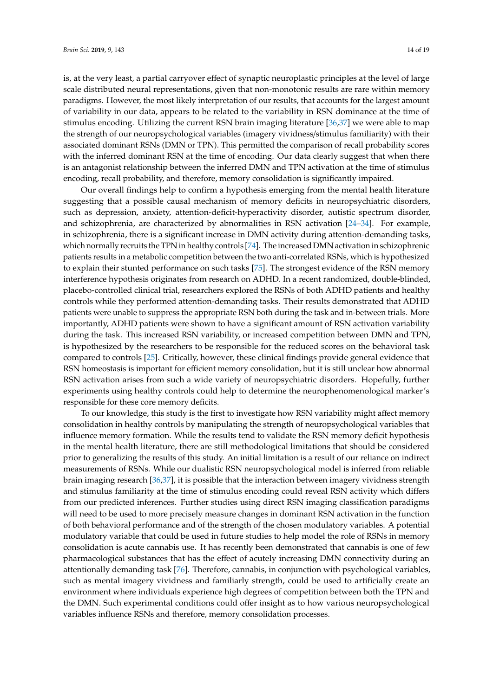is, at the very least, a partial carryover effect of synaptic neuroplastic principles at the level of large scale distributed neural representations, given that non-monotonic results are rare within memory paradigms. However, the most likely interpretation of our results, that accounts for the largest amount of variability in our data, appears to be related to the variability in RSN dominance at the time of stimulus encoding. Utilizing the current RSN brain imaging literature [\[36,](#page-16-2)[37\]](#page-16-3) we were able to map the strength of our neuropsychological variables (imagery vividness/stimulus familiarity) with their associated dominant RSNs (DMN or TPN). This permitted the comparison of recall probability scores with the inferred dominant RSN at the time of encoding. Our data clearly suggest that when there is an antagonist relationship between the inferred DMN and TPN activation at the time of stimulus encoding, recall probability, and therefore, memory consolidation is significantly impaired.

Our overall findings help to confirm a hypothesis emerging from the mental health literature suggesting that a possible causal mechanism of memory deficits in neuropsychiatric disorders, such as depression, anxiety, attention-deficit-hyperactivity disorder, autistic spectrum disorder, and schizophrenia, are characterized by abnormalities in RSN activation [\[24–](#page-15-21)[34\]](#page-16-6). For example, in schizophrenia, there is a significant increase in DMN activity during attention-demanding tasks, which normally recruits the TPN in healthy controls [\[74\]](#page-18-0). The increased DMN activation in schizophrenic patients results in a metabolic competition between the two anti-correlated RSNs, which is hypothesized to explain their stunted performance on such tasks [\[75\]](#page-18-1). The strongest evidence of the RSN memory interference hypothesis originates from research on ADHD. In a recent randomized, double-blinded, placebo-controlled clinical trial, researchers explored the RSNs of both ADHD patients and healthy controls while they performed attention-demanding tasks. Their results demonstrated that ADHD patients were unable to suppress the appropriate RSN both during the task and in-between trials. More importantly, ADHD patients were shown to have a significant amount of RSN activation variability during the task. This increased RSN variability, or increased competition between DMN and TPN, is hypothesized by the researchers to be responsible for the reduced scores on the behavioral task compared to controls [\[25\]](#page-16-0). Critically, however, these clinical findings provide general evidence that RSN homeostasis is important for efficient memory consolidation, but it is still unclear how abnormal RSN activation arises from such a wide variety of neuropsychiatric disorders. Hopefully, further experiments using healthy controls could help to determine the neurophenomenological marker's responsible for these core memory deficits.

To our knowledge, this study is the first to investigate how RSN variability might affect memory consolidation in healthy controls by manipulating the strength of neuropsychological variables that influence memory formation. While the results tend to validate the RSN memory deficit hypothesis in the mental health literature, there are still methodological limitations that should be considered prior to generalizing the results of this study. An initial limitation is a result of our reliance on indirect measurements of RSNs. While our dualistic RSN neuropsychological model is inferred from reliable brain imaging research [\[36](#page-16-2)[,37\]](#page-16-3), it is possible that the interaction between imagery vividness strength and stimulus familiarity at the time of stimulus encoding could reveal RSN activity which differs from our predicted inferences. Further studies using direct RSN imaging classification paradigms will need to be used to more precisely measure changes in dominant RSN activation in the function of both behavioral performance and of the strength of the chosen modulatory variables. A potential modulatory variable that could be used in future studies to help model the role of RSNs in memory consolidation is acute cannabis use. It has recently been demonstrated that cannabis is one of few pharmacological substances that has the effect of acutely increasing DMN connectivity during an attentionally demanding task [\[76\]](#page-18-2). Therefore, cannabis, in conjunction with psychological variables, such as mental imagery vividness and familiarly strength, could be used to artificially create an environment where individuals experience high degrees of competition between both the TPN and the DMN. Such experimental conditions could offer insight as to how various neuropsychological variables influence RSNs and therefore, memory consolidation processes.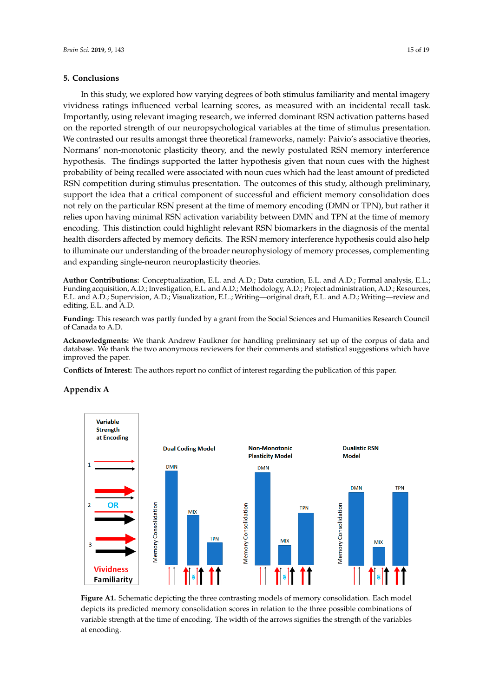## **5. Conclusions**

In this study, we explored how varying degrees of both stimulus familiarity and mental imagery vividness ratings influenced verbal learning scores, as measured with an incidental recall task. Importantly, using relevant imaging research, we inferred dominant RSN activation patterns based on the reported strength of our neuropsychological variables at the time of stimulus presentation. We contrasted our results amongst three theoretical frameworks, namely: Paivio's associative theories, Normans' non-monotonic plasticity theory, and the newly postulated RSN memory interference hypothesis. The findings supported the latter hypothesis given that noun cues with the highest probability of being recalled were associated with noun cues which had the least amount of predicted RSN competition during stimulus presentation. The outcomes of this study, although preliminary, support the idea that a critical component of successful and efficient memory consolidation does not rely on the particular RSN present at the time of memory encoding (DMN or TPN), but rather it relies upon having minimal RSN activation variability between DMN and TPN at the time of memory encoding. This distinction could highlight relevant RSN biomarkers in the diagnosis of the mental health disorders affected by memory deficits. The RSN memory interference hypothesis could also help to illuminate our understanding of the broader neurophysiology of memory processes, complementing and expanding single-neuron neuroplasticity theories.

Author Contributions: Conceptualization, E.L. and A.D.; Data curation, E.L. and A.D.; Formal analysis, E.L.; Funding acquisition, A.D.; Investigation, E.L. and A.D.; Methodology, A.D.; Project administration, A.D.; Resources, E.L. and A.D.; Supervision, A.D.; Visualization, E.L.; Writing—original draft, E.L. and A.D.; Writing—review and<br>editing, E.L. and A.D. editing, E.L. and A.D.

Funding: This research was partly funded by a grant from the Social Sciences and Humanities Research Council of Canada to A.D. of Canada to A.D.

**Acknowledgments:** We thank Andrew Faulkner for handling preliminary set up of the corpus of data and database. We thank the two anonymous reviewers for their comments and statistical suggestions which have improved the paper. We thank the two anonymous reviewers for the two anonymous reviewers and statistical suggestions which have two anonymous reviewers and statistical suggestions which have two anonymous reviewers.

Conflicts of Interest: The authors report no conflict of interest regarding the publication of this paper.

## **Appendix A Appendix A**

<span id="page-14-0"></span>

**Figure A1.** Schematic depicting the three contrasting models of memory consolidation. Each model **Figure A1.** Schematic depicting the three contrasting models of memory consolidation. Each model depicts its predicted memory consolidation scores in relation to the three possible combinations of depicts its predicted memory consolidation scores in relation to the three possible combinations of variable strength at the time of encoding. The width of the arrows signifies the strength of the variable strength at the time of encoding. The width of the arrows signifies the strength of the variables at encoding.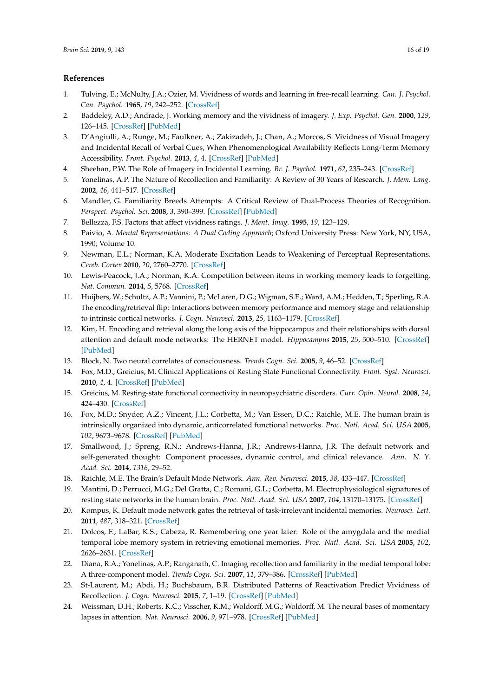# **References**

- <span id="page-15-0"></span>1. Tulving, E.; McNulty, J.A.; Ozier, M. Vividness of words and learning in free-recall learning. *Can. J. Psychol. Can. Psychol.* **1965**, *19*, 242–252. [\[CrossRef\]](http://dx.doi.org/10.1037/h0082906)
- 2. Baddeley, A.D.; Andrade, J. Working memory and the vividness of imagery. *J. Exp. Psychol. Gen.* **2000**, *129*, 126–145. [\[CrossRef\]](http://dx.doi.org/10.1037/0096-3445.129.1.126) [\[PubMed\]](http://www.ncbi.nlm.nih.gov/pubmed/10756490)
- <span id="page-15-22"></span>3. D'Angiulli, A.; Runge, M.; Faulkner, A.; Zakizadeh, J.; Chan, A.; Morcos, S. Vividness of Visual Imagery and Incidental Recall of Verbal Cues, When Phenomenological Availability Reflects Long-Term Memory Accessibility. *Front. Psychol.* **2013**, *4*, 4. [\[CrossRef\]](http://dx.doi.org/10.3389/fpsyg.2013.00001) [\[PubMed\]](http://www.ncbi.nlm.nih.gov/pubmed/23382719)
- <span id="page-15-1"></span>4. Sheehan, P.W. The Role of Imagery in Incidental Learning. *Br. J. Psychol.* **1971**, *62*, 235–243. [\[CrossRef\]](http://dx.doi.org/10.1111/j.2044-8295.1971.tb02033.x)
- <span id="page-15-2"></span>5. Yonelinas, A.P. The Nature of Recollection and Familiarity: A Review of 30 Years of Research. *J. Mem. Lang.* **2002**, *46*, 441–517. [\[CrossRef\]](http://dx.doi.org/10.1006/jmla.2002.2864)
- <span id="page-15-3"></span>6. Mandler, G. Familiarity Breeds Attempts: A Critical Review of Dual-Process Theories of Recognition. *Perspect. Psychol. Sci.* **2008**, *3*, 390–399. [\[CrossRef\]](http://dx.doi.org/10.1111/j.1745-6924.2008.00087.x) [\[PubMed\]](http://www.ncbi.nlm.nih.gov/pubmed/26158957)
- <span id="page-15-4"></span>7. Bellezza, F.S. Factors that affect vividness ratings. *J. Ment. Imag.* **1995**, *19*, 123–129.
- <span id="page-15-5"></span>8. Paivio, A. *Mental Representations: A Dual Coding Approach*; Oxford University Press: New York, NY, USA, 1990; Volume 10.
- <span id="page-15-6"></span>9. Newman, E.L.; Norman, K.A. Moderate Excitation Leads to Weakening of Perceptual Representations. *Cereb. Cortex* **2010**, *20*, 2760–2770. [\[CrossRef\]](http://dx.doi.org/10.1093/cercor/bhq021)
- <span id="page-15-7"></span>10. Lewis-Peacock, J.A.; Norman, K.A. Competition between items in working memory leads to forgetting. *Nat. Commun.* **2014**, *5*, 5768. [\[CrossRef\]](http://dx.doi.org/10.1038/ncomms6768)
- <span id="page-15-8"></span>11. Huijbers, W.; Schultz, A.P.; Vannini, P.; McLaren, D.G.; Wigman, S.E.; Ward, A.M.; Hedden, T.; Sperling, R.A. The encoding/retrieval flip: Interactions between memory performance and memory stage and relationship to intrinsic cortical networks. *J. Cogn. Neurosci.* **2013**, *25*, 1163–1179. [\[CrossRef\]](http://dx.doi.org/10.1162/jocn_a_00366)
- <span id="page-15-9"></span>12. Kim, H. Encoding and retrieval along the long axis of the hippocampus and their relationships with dorsal attention and default mode networks: The HERNET model. *Hippocampus* **2015**, *25*, 500–510. [\[CrossRef\]](http://dx.doi.org/10.1002/hipo.22387) [\[PubMed\]](http://www.ncbi.nlm.nih.gov/pubmed/25367784)
- <span id="page-15-10"></span>13. Block, N. Two neural correlates of consciousness. *Trends Cogn. Sci.* **2005**, *9*, 46–52. [\[CrossRef\]](http://dx.doi.org/10.1016/j.tics.2004.12.006)
- <span id="page-15-11"></span>14. Fox, M.D.; Greicius, M. Clinical Applications of Resting State Functional Connectivity. *Front. Syst. Neurosci.* **2010**, *4*, 4. [\[CrossRef\]](http://dx.doi.org/10.3389/fnsys.2010.00019) [\[PubMed\]](http://www.ncbi.nlm.nih.gov/pubmed/20592951)
- <span id="page-15-12"></span>15. Greicius, M. Resting-state functional connectivity in neuropsychiatric disorders. *Curr. Opin. Neurol.* **2008**, *24*, 424–430. [\[CrossRef\]](http://dx.doi.org/10.1097/WCO.0b013e328306f2c5)
- <span id="page-15-13"></span>16. Fox, M.D.; Snyder, A.Z.; Vincent, J.L.; Corbetta, M.; Van Essen, D.C.; Raichle, M.E. The human brain is intrinsically organized into dynamic, anticorrelated functional networks. *Proc. Natl. Acad. Sci. USA* **2005**, *102*, 9673–9678. [\[CrossRef\]](http://dx.doi.org/10.1073/pnas.0504136102) [\[PubMed\]](http://www.ncbi.nlm.nih.gov/pubmed/15976020)
- <span id="page-15-14"></span>17. Smallwood, J.; Spreng, R.N.; Andrews-Hanna, J.R.; Andrews-Hanna, J.R. The default network and self-generated thought: Component processes, dynamic control, and clinical relevance. *Ann. N. Y. Acad. Sci.* **2014**, *1316*, 29–52.
- <span id="page-15-15"></span>18. Raichle, M.E. The Brain's Default Mode Network. *Ann. Rev. Neurosci.* **2015**, *38*, 433–447. [\[CrossRef\]](http://dx.doi.org/10.1146/annurev-neuro-071013-014030)
- <span id="page-15-16"></span>19. Mantini, D.; Perrucci, M.G.; Del Gratta, C.; Romani, G.L.; Corbetta, M. Electrophysiological signatures of resting state networks in the human brain. *Proc. Natl. Acad. Sci. USA* **2007**, *104*, 13170–13175. [\[CrossRef\]](http://dx.doi.org/10.1073/pnas.0700668104)
- <span id="page-15-17"></span>20. Kompus, K. Default mode network gates the retrieval of task-irrelevant incidental memories. *Neurosci. Lett.* **2011**, *487*, 318–321. [\[CrossRef\]](http://dx.doi.org/10.1016/j.neulet.2010.10.047)
- <span id="page-15-18"></span>21. Dolcos, F.; LaBar, K.S.; Cabeza, R. Remembering one year later: Role of the amygdala and the medial temporal lobe memory system in retrieving emotional memories. *Proc. Natl. Acad. Sci. USA* **2005**, *102*, 2626–2631. [\[CrossRef\]](http://dx.doi.org/10.1073/pnas.0409848102)
- <span id="page-15-19"></span>22. Diana, R.A.; Yonelinas, A.P.; Ranganath, C. Imaging recollection and familiarity in the medial temporal lobe: A three-component model. *Trends Cogn. Sci.* **2007**, *11*, 379–386. [\[CrossRef\]](http://dx.doi.org/10.1016/j.tics.2007.08.001) [\[PubMed\]](http://www.ncbi.nlm.nih.gov/pubmed/17707683)
- <span id="page-15-20"></span>23. St-Laurent, M.; Abdi, H.; Buchsbaum, B.R. Distributed Patterns of Reactivation Predict Vividness of Recollection. *J. Cogn. Neurosci.* **2015**, *7*, 1–19. [\[CrossRef\]](http://dx.doi.org/10.1162/jocn_a_00839) [\[PubMed\]](http://www.ncbi.nlm.nih.gov/pubmed/26102224)
- <span id="page-15-21"></span>24. Weissman, D.H.; Roberts, K.C.; Visscher, K.M.; Woldorff, M.G.; Woldorff, M. The neural bases of momentary lapses in attention. *Nat. Neurosci.* **2006**, *9*, 971–978. [\[CrossRef\]](http://dx.doi.org/10.1038/nn1727) [\[PubMed\]](http://www.ncbi.nlm.nih.gov/pubmed/16767087)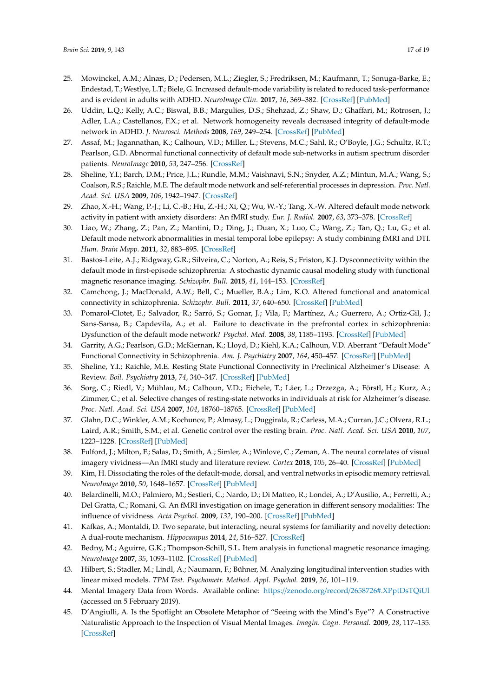- <span id="page-16-0"></span>25. Mowinckel, A.M.; Alnæs, D.; Pedersen, M.L.; Ziegler, S.; Fredriksen, M.; Kaufmann, T.; Sonuga-Barke, E.; Endestad, T.; Westlye, L.T.; Biele, G. Increased default-mode variability is related to reduced task-performance and is evident in adults with ADHD. *NeuroImage Clin.* **2017**, *16*, 369–382. [\[CrossRef\]](http://dx.doi.org/10.1016/j.nicl.2017.03.008) [\[PubMed\]](http://www.ncbi.nlm.nih.gov/pubmed/28861338)
- <span id="page-16-1"></span>26. Uddin, L.Q.; Kelly, A.C.; Biswal, B.B.; Margulies, D.S.; Shehzad, Z.; Shaw, D.; Ghaffari, M.; Rotrosen, J.; Adler, L.A.; Castellanos, F.X.; et al. Network homogeneity reveals decreased integrity of default-mode network in ADHD. *J. Neurosci. Methods* **2008**, *169*, 249–254. [\[CrossRef\]](http://dx.doi.org/10.1016/j.jneumeth.2007.11.031) [\[PubMed\]](http://www.ncbi.nlm.nih.gov/pubmed/18190970)
- 27. Assaf, M.; Jagannathan, K.; Calhoun, V.D.; Miller, L.; Stevens, M.C.; Sahl, R.; O'Boyle, J.G.; Schultz, R.T.; Pearlson, G.D. Abnormal functional connectivity of default mode sub-networks in autism spectrum disorder patients. *NeuroImage* **2010**, *53*, 247–256. [\[CrossRef\]](http://dx.doi.org/10.1016/j.neuroimage.2010.05.067)
- 28. Sheline, Y.I.; Barch, D.M.; Price, J.L.; Rundle, M.M.; Vaishnavi, S.N.; Snyder, A.Z.; Mintun, M.A.; Wang, S.; Coalson, R.S.; Raichle, M.E. The default mode network and self-referential processes in depression. *Proc. Natl. Acad. Sci. USA* **2009**, *106*, 1942–1947. [\[CrossRef\]](http://dx.doi.org/10.1073/pnas.0812686106)
- 29. Zhao, X.-H.; Wang, P.-J.; Li, C.-B.; Hu, Z.-H.; Xi, Q.; Wu, W.-Y.; Tang, X.-W. Altered default mode network activity in patient with anxiety disorders: An fMRI study. *Eur. J. Radiol.* **2007**, *63*, 373–378. [\[CrossRef\]](http://dx.doi.org/10.1016/j.ejrad.2007.02.006)
- 30. Liao, W.; Zhang, Z.; Pan, Z.; Mantini, D.; Ding, J.; Duan, X.; Luo, C.; Wang, Z.; Tan, Q.; Lu, G.; et al. Default mode network abnormalities in mesial temporal lobe epilepsy: A study combining fMRI and DTI. *Hum. Brain Mapp.* **2011**, *32*, 883–895. [\[CrossRef\]](http://dx.doi.org/10.1002/hbm.21076)
- 31. Bastos-Leite, A.J.; Ridgway, G.R.; Silveira, C.; Norton, A.; Reis, S.; Friston, K.J. Dysconnectivity within the default mode in first-episode schizophrenia: A stochastic dynamic causal modeling study with functional magnetic resonance imaging. *Schizophr. Bull.* **2015**, *41*, 144–153. [\[CrossRef\]](http://dx.doi.org/10.1093/schbul/sbu080)
- 32. Camchong, J.; MacDonald, A.W.; Bell, C.; Mueller, B.A.; Lim, K.O. Altered functional and anatomical connectivity in schizophrenia. *Schizophr. Bull.* **2011**, *37*, 640–650. [\[CrossRef\]](http://dx.doi.org/10.1093/schbul/sbp131) [\[PubMed\]](http://www.ncbi.nlm.nih.gov/pubmed/19920062)
- 33. Pomarol-Clotet, E.; Salvador, R.; Sarró, S.; Gomar, J.; Vila, F.; Martínez, A.; Guerrero, A.; Ortiz-Gil, J.; Sans-Sansa, B.; Capdevila, A.; et al. Failure to deactivate in the prefrontal cortex in schizophrenia: Dysfunction of the default mode network? *Psychol. Med.* **2008**, *38*, 1185–1193. [\[CrossRef\]](http://dx.doi.org/10.1017/S0033291708003565) [\[PubMed\]](http://www.ncbi.nlm.nih.gov/pubmed/18507885)
- <span id="page-16-6"></span>34. Garrity, A.G.; Pearlson, G.D.; McKiernan, K.; Lloyd, D.; Kiehl, K.A.; Calhoun, V.D. Aberrant "Default Mode" Functional Connectivity in Schizophrenia. *Am. J. Psychiatry* **2007**, *164*, 450–457. [\[CrossRef\]](http://dx.doi.org/10.1176/ajp.2007.164.3.450) [\[PubMed\]](http://www.ncbi.nlm.nih.gov/pubmed/17329470)
- 35. Sheline, Y.I.; Raichle, M.E. Resting State Functional Connectivity in Preclinical Alzheimer's Disease: A Review. *Boil. Psychiatry* **2013**, *74*, 340–347. [\[CrossRef\]](http://dx.doi.org/10.1016/j.biopsych.2012.11.028) [\[PubMed\]](http://www.ncbi.nlm.nih.gov/pubmed/23290495)
- <span id="page-16-2"></span>36. Sorg, C.; Riedl, V.; Mühlau, M.; Calhoun, V.D.; Eichele, T.; Läer, L.; Drzezga, A.; Förstl, H.; Kurz, A.; Zimmer, C.; et al. Selective changes of resting-state networks in individuals at risk for Alzheimer's disease. *Proc. Natl. Acad. Sci. USA* **2007**, *104*, 18760–18765. [\[CrossRef\]](http://dx.doi.org/10.1073/pnas.0708803104) [\[PubMed\]](http://www.ncbi.nlm.nih.gov/pubmed/18003904)
- <span id="page-16-3"></span>37. Glahn, D.C.; Winkler, A.M.; Kochunov, P.; Almasy, L.; Duggirala, R.; Carless, M.A.; Curran, J.C.; Olvera, R.L.; Laird, A.R.; Smith, S.M.; et al. Genetic control over the resting brain. *Proc. Natl. Acad. Sci. USA* **2010**, *107*, 1223–1228. [\[CrossRef\]](http://dx.doi.org/10.1073/pnas.0909969107) [\[PubMed\]](http://www.ncbi.nlm.nih.gov/pubmed/20133824)
- <span id="page-16-4"></span>38. Fulford, J.; Milton, F.; Salas, D.; Smith, A.; Simler, A.; Winlove, C.; Zeman, A. The neural correlates of visual imagery vividness—An fMRI study and literature review. *Cortex* **2018**, *105*, 26–40. [\[CrossRef\]](http://dx.doi.org/10.1016/j.cortex.2017.09.014) [\[PubMed\]](http://www.ncbi.nlm.nih.gov/pubmed/29079342)
- <span id="page-16-5"></span>39. Kim, H. Dissociating the roles of the default-mode, dorsal, and ventral networks in episodic memory retrieval. *NeuroImage* **2010**, *50*, 1648–1657. [\[CrossRef\]](http://dx.doi.org/10.1016/j.neuroimage.2010.01.051) [\[PubMed\]](http://www.ncbi.nlm.nih.gov/pubmed/20097295)
- <span id="page-16-7"></span>40. Belardinelli, M.O.; Palmiero, M.; Sestieri, C.; Nardo, D.; Di Matteo, R.; Londei, A.; D'Ausilio, A.; Ferretti, A.; Del Gratta, C.; Romani, G. An fMRI investigation on image generation in different sensory modalities: The influence of vividness. *Acta Psychol.* **2009**, *132*, 190–200. [\[CrossRef\]](http://dx.doi.org/10.1016/j.actpsy.2009.06.009) [\[PubMed\]](http://www.ncbi.nlm.nih.gov/pubmed/19695558)
- <span id="page-16-8"></span>41. Kafkas, A.; Montaldi, D. Two separate, but interacting, neural systems for familiarity and novelty detection: A dual-route mechanism. *Hippocampus* **2014**, *24*, 516–527. [\[CrossRef\]](http://dx.doi.org/10.1002/hipo.22241)
- <span id="page-16-9"></span>42. Bedny, M.; Aguirre, G.K.; Thompson-Schill, S.L. Item analysis in functional magnetic resonance imaging. *NeuroImage* **2007**, *35*, 1093–1102. [\[CrossRef\]](http://dx.doi.org/10.1016/j.neuroimage.2007.01.039) [\[PubMed\]](http://www.ncbi.nlm.nih.gov/pubmed/17346988)
- <span id="page-16-10"></span>43. Hilbert, S.; Stadler, M.; Lindl, A.; Naumann, F.; Bühner, M. Analyzing longitudinal intervention studies with linear mixed models. *TPM Test. Psychometr. Method. Appl. Psychol.* **2019**, *26*, 101–119.
- <span id="page-16-11"></span>44. Mental Imagery Data from Words. Available online: https://zenodo.org/record/[2658726#.XPptDsTQiUl](https://zenodo.org/record/2658726#.XPptDsTQiUl) (accessed on 5 February 2019).
- <span id="page-16-12"></span>45. D'Angiulli, A. Is the Spotlight an Obsolete Metaphor of "Seeing with the Mind's Eye"? A Constructive Naturalistic Approach to the Inspection of Visual Mental Images. *Imagin. Cogn. Personal.* **2009**, *28*, 117–135. [\[CrossRef\]](http://dx.doi.org/10.2190/IC.28.2.b)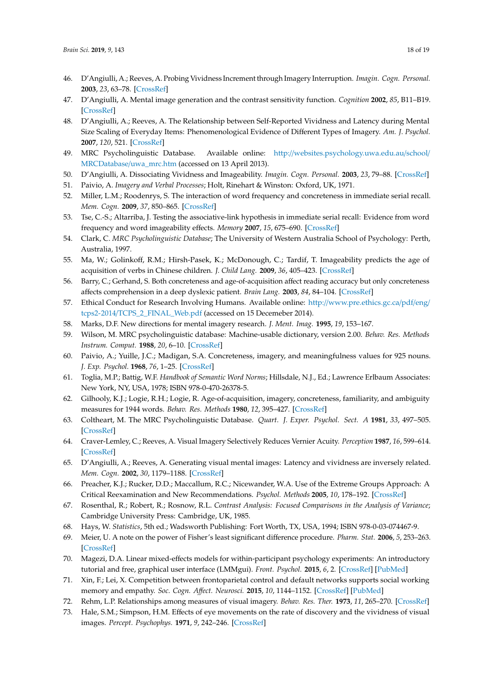- 46. D'Angiulli, A.; Reeves, A. Probing Vividness Increment through Imagery Interruption. *Imagin. Cogn. Personal.* **2003**, *23*, 63–78. [\[CrossRef\]](http://dx.doi.org/10.2190/FD86-RWDH-FLX2-ULRG)
- <span id="page-17-10"></span>47. D'Angiulli, A. Mental image generation and the contrast sensitivity function. *Cognition* **2002**, *85*, B11–B19. [\[CrossRef\]](http://dx.doi.org/10.1016/S0010-0277(02)00075-6)
- <span id="page-17-0"></span>48. D'Angiulli, A.; Reeves, A. The Relationship between Self-Reported Vividness and Latency during Mental Size Scaling of Everyday Items: Phenomenological Evidence of Different Types of Imagery. *Am. J. Psychol.* **2007**, *120*, 521. [\[CrossRef\]](http://dx.doi.org/10.2307/20445424)
- <span id="page-17-1"></span>49. MRC Psycholinguistic Database. Available online: http://[websites.psychology.uwa.edu.au](http://websites.psychology.uwa.edu.au/school/MRCDatabase/uwa_mrc.htm)/school/ [MRCDatabase](http://websites.psychology.uwa.edu.au/school/MRCDatabase/uwa_mrc.htm)/uwa\_mrc.htm (accessed on 13 April 2013).
- <span id="page-17-2"></span>50. D'Angiulli, A. Dissociating Vividness and Imageability. *Imagin. Cogn. Personal.* **2003**, *23*, 79–88. [\[CrossRef\]](http://dx.doi.org/10.2190/J0G5-FTHT-8950-6Y8V)
- <span id="page-17-3"></span>51. Paivio, A. *Imagery and Verbal Processes*; Holt, Rinehart & Winston: Oxford, UK, 1971.
- <span id="page-17-4"></span>52. Miller, L.M.; Roodenrys, S. The interaction of word frequency and concreteness in immediate serial recall. *Mem. Cogn.* **2009**, *37*, 850–865. [\[CrossRef\]](http://dx.doi.org/10.3758/MC.37.6.850)
- <span id="page-17-5"></span>53. Tse, C.-S.; Altarriba, J. Testing the associative-link hypothesis in immediate serial recall: Evidence from word frequency and word imageability effects. *Memory* **2007**, *15*, 675–690. [\[CrossRef\]](http://dx.doi.org/10.1080/09658210701467186)
- <span id="page-17-6"></span>54. Clark, C. *MRC Psycholinguistic Database*; The University of Western Australia School of Psychology: Perth, Australia, 1997.
- <span id="page-17-7"></span>55. Ma, W.; Golinkoff, R.M.; Hirsh-Pasek, K.; McDonough, C.; Tardif, T. Imageability predicts the age of acquisition of verbs in Chinese children. *J. Child Lang.* **2009**, *36*, 405–423. [\[CrossRef\]](http://dx.doi.org/10.1017/S0305000908009008)
- <span id="page-17-8"></span>56. Barry, C.; Gerhand, S. Both concreteness and age-of-acquisition affect reading accuracy but only concreteness affects comprehension in a deep dyslexic patient. *Brain Lang.* **2003**, *84*, 84–104. [\[CrossRef\]](http://dx.doi.org/10.1016/S0093-934X(02)00522-9)
- <span id="page-17-9"></span>57. Ethical Conduct for Research Involving Humans. Available online: http://[www.pre.ethics.gc.ca](http://www.pre.ethics.gc.ca/pdf/eng/tcps2-2014/TCPS_2_FINAL_Web.pdf)/pdf/eng/ tcps2-2014/[TCPS\\_2\\_FINAL\\_Web.pdf](http://www.pre.ethics.gc.ca/pdf/eng/tcps2-2014/TCPS_2_FINAL_Web.pdf) (accessed on 15 Decemeber 2014).
- <span id="page-17-11"></span>58. Marks, D.F. New directions for mental imagery research. *J. Ment. Imag.* **1995**, *19*, 153–167.
- <span id="page-17-12"></span>59. Wilson, M. MRC psycholinguistic database: Machine-usable dictionary, version 2.00. *Behav. Res. Methods Instrum. Comput.* **1988**, *20*, 6–10. [\[CrossRef\]](http://dx.doi.org/10.3758/BF03202594)
- <span id="page-17-13"></span>60. Paivio, A.; Yuille, J.C.; Madigan, S.A. Concreteness, imagery, and meaningfulness values for 925 nouns. *J. Exp. Psychol.* **1968**, *76*, 1–25. [\[CrossRef\]](http://dx.doi.org/10.1037/h0025327)
- 61. Toglia, M.P.; Battig, W.F. *Handbook of Semantic Word Norms*; Hillsdale, N.J., Ed.; Lawrence Erlbaum Associates: New York, NY, USA, 1978; ISBN 978-0-470-26378-5.
- <span id="page-17-14"></span>62. Gilhooly, K.J.; Logie, R.H.; Logie, R. Age-of-acquisition, imagery, concreteness, familiarity, and ambiguity measures for 1944 words. *Behav. Res. Methods* **1980**, *12*, 395–427. [\[CrossRef\]](http://dx.doi.org/10.3758/BF03201693)
- <span id="page-17-15"></span>63. Coltheart, M. The MRC Psycholinguistic Database. *Quart. J. Exper. Psychol. Sect. A* **1981**, *33*, 497–505. [\[CrossRef\]](http://dx.doi.org/10.1080/14640748108400805)
- <span id="page-17-16"></span>64. Craver-Lemley, C.; Reeves, A. Visual Imagery Selectively Reduces Vernier Acuity. *Perception* **1987**, *16*, 599–614. [\[CrossRef\]](http://dx.doi.org/10.1068/p160599)
- <span id="page-17-17"></span>65. D'Angiulli, A.; Reeves, A. Generating visual mental images: Latency and vividness are inversely related. *Mem. Cogn.* **2002**, *30*, 1179–1188. [\[CrossRef\]](http://dx.doi.org/10.3758/BF03213401)
- <span id="page-17-18"></span>66. Preacher, K.J.; Rucker, D.D.; Maccallum, R.C.; Nicewander, W.A. Use of the Extreme Groups Approach: A Critical Reexamination and New Recommendations. *Psychol. Methods* **2005**, *10*, 178–192. [\[CrossRef\]](http://dx.doi.org/10.1037/1082-989X.10.2.178)
- <span id="page-17-19"></span>67. Rosenthal, R.; Robert, R.; Rosnow, R.L. *Contrast Analysis: Focused Comparisons in the Analysis of Variance*; Cambridge University Press: Cambridge, UK, 1985.
- <span id="page-17-21"></span><span id="page-17-20"></span>68. Hays, W. *Statistics*, 5th ed.; Wadsworth Publishing: Fort Worth, TX, USA, 1994; ISBN 978-0-03-074467-9.
- 69. Meier, U. A note on the power of Fisher's least significant difference procedure. *Pharm. Stat.* **2006**, *5*, 253–263. [\[CrossRef\]](http://dx.doi.org/10.1002/pst.210)
- <span id="page-17-22"></span>70. Magezi, D.A. Linear mixed-effects models for within-participant psychology experiments: An introductory tutorial and free, graphical user interface (LMMgui). *Front. Psychol.* **2015**, *6*, 2. [\[CrossRef\]](http://dx.doi.org/10.3389/fpsyg.2015.00002) [\[PubMed\]](http://www.ncbi.nlm.nih.gov/pubmed/25657634)
- <span id="page-17-23"></span>71. Xin, F.; Lei, X. Competition between frontoparietal control and default networks supports social working memory and empathy. *Soc. Cogn. A*ff*ect. Neurosci.* **2015**, *10*, 1144–1152. [\[CrossRef\]](http://dx.doi.org/10.1093/scan/nsu160) [\[PubMed\]](http://www.ncbi.nlm.nih.gov/pubmed/25556209)
- <span id="page-17-24"></span>72. Rehm, L.P. Relationships among measures of visual imagery. *Behav. Res. Ther.* **1973**, *11*, 265–270. [\[CrossRef\]](http://dx.doi.org/10.1016/0005-7967(73)90002-8)
- <span id="page-17-25"></span>73. Hale, S.M.; Simpson, H.M. Effects of eye movements on the rate of discovery and the vividness of visual images. *Percept. Psychophys.* **1971**, *9*, 242–246. [\[CrossRef\]](http://dx.doi.org/10.3758/BF03212642)